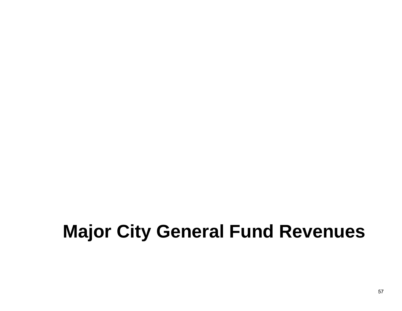# **Major City General Fund Revenues**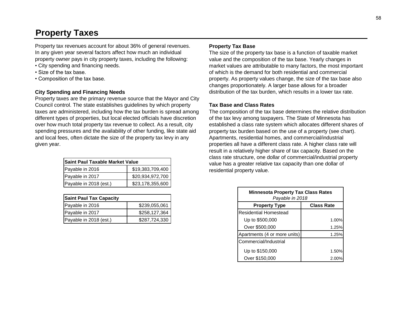# **Property Taxes**

Property tax revenues account for about 36% of general revenues. In any given year several factors affect how much an individual property owner pays in city property taxes, including the following:

- City spending and financing needs.
- Size of the tax base.
- Composition of the tax base.

## **City Spending and Financing Needs**

Property taxes are the primary revenue source that the Mayor and City Council control. The state establishes guidelines by which property taxes are administered, including how the tax burden is spread among different types of properties, but local elected officials have discretion over how much total property tax revenue to collect. As a result, city spending pressures and the availability of other funding, like state aid and local fees, often dictate the size of the property tax levy in any given year.

| <b>Saint Paul Taxable Market Value</b> |                  |  |  |
|----------------------------------------|------------------|--|--|
| Payable in 2016                        | \$19,383,709,400 |  |  |
| Payable in 2017                        | \$20,934,972,700 |  |  |
| Payable in 2018 (est.)                 | \$23,178,355,600 |  |  |

| <b>Saint Paul Tax Capacity</b> |               |                               | Payable in 2018   |  |
|--------------------------------|---------------|-------------------------------|-------------------|--|
| Payable in 2016                | \$239,055,061 | <b>Property Type</b>          | <b>Class Rate</b> |  |
| IPavable in 2017               | \$258,127,364 | <b>IResidential Homestead</b> |                   |  |
| Payable in 2018 (est.)         | \$287,724,330 | Up to \$500,000               |                   |  |

## **Property Tax Base**

The size of the property tax base is a function of taxable market value and the composition of the tax base. Yearly changes in market values are attributable to many factors, the most important of which is the demand for both residential and commercial property. As property values change, the size of the tax base also changes proportionately. A larger base allows for a broader distribution of the tax burden, which results in a lower tax rate.

#### **Tax Base and Class Rates**

The composition of the tax base determines the relative distribution of the tax levy among taxpayers. The State of Minnesota has established a class rate system which allocates different shares of property tax burden based on the use of a property (see chart). Apartments, residential homes, and commercial/industrial properties all have a different class rate. A higher class rate will result in a relatively higher share of tax capacity. Based on the class rate structure, one dollar of commercial/industrial property value has a greater relative tax capacity than one dollar of residential property value.

| <b>Saint Paul Tax Capacity</b> |               | <b>Minnesota Property Tax Class Rates</b><br>Payable in 2018 |                   |
|--------------------------------|---------------|--------------------------------------------------------------|-------------------|
| Payable in 2016                | \$239,055,061 | <b>Property Type</b>                                         | <b>Class Rate</b> |
| Payable in 2017                | \$258,127,364 | <b>Residential Homestead</b>                                 |                   |
| Payable in 2018 (est.)         | \$287,724,330 | Up to \$500,000                                              | 1.00%             |
|                                |               | Over \$500,000                                               | 1.25%             |
|                                |               | Apartments (4 or more units)                                 | 1.25%             |
|                                |               | Commercial/Industrial                                        |                   |
|                                |               | Up to \$150,000                                              | 1.50%             |
|                                |               | Over \$150,000                                               | 2.00%             |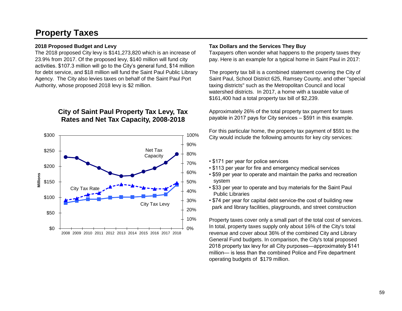# **Property Taxes**

### **2018 Proposed Budget and Levy**

The 2018 proposed City levy is \$141,273,820 which is an increase of 23.9% from 2017. Of the proposed levy, \$140 million will fund city activities. \$107.3 million will go to the City's general fund, \$14 million for debt service, and \$18 million will fund the Saint Paul Public Library Agency. The City also levies taxes on behalf of the Saint Paul Port Authority, whose proposed 2018 levy is \$2 million.

## **City of Saint Paul Property Tax Levy, Tax Rates and Net Tax Capacity, 2008-2018**



#### **Tax Dollars and the Services They Buy**

Taxpayers often wonder what happens to the property taxes they pay. Here is an example for a typical home in Saint Paul in 2017:

The property tax bill is a combined statement covering the City of Saint Paul, School District 625, Ramsey County, and other "special taxing districts" such as the Metropolitan Council and local watershed districts. In 2017, a home with a taxable value of \$161,400 had a total property tax bill of \$2,239.

Approximately 26% of the total property tax payment for taxes payable in 2017 pays for City services – \$591 in this example.

For this particular home, the property tax payment of \$591 to the City would include the following amounts for key city services:

- \$171 per year for police services
- \$113 per year for fire and emergency medical services
- \$59 per year to operate and maintain the parks and recreation system
- \$33 per year to operate and buy materials for the Saint Paul Public Libraries
- \$74 per year for capital debt service-the cost of building new park and library facilities, playgrounds, and street construction

Property taxes cover only a small part of the total cost of services. In total, property taxes supply only about 16% of the City's total revenue and cover about 36% of the combined City and Library General Fund budgets. In comparison, the City's total proposed 2018 property tax levy for all City purposes—approximately \$141 million— is less than the combined Police and Fire department operating budgets of \$179 million.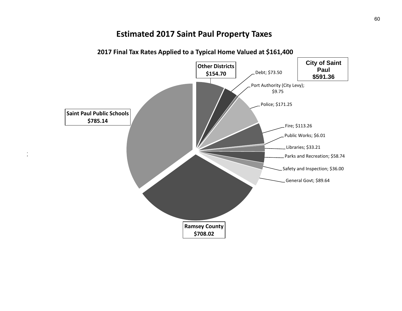## **Estimated 2017 Saint Paul Property Taxes**



2004<br>2004 - 2014 - 2014 - 2014 - 2014<br>2014 - 2014 - 2014 - 2014 - 2014 - 2014

## **2017 Final Tax Rates Applied to a Typical Home Valued at \$161,400**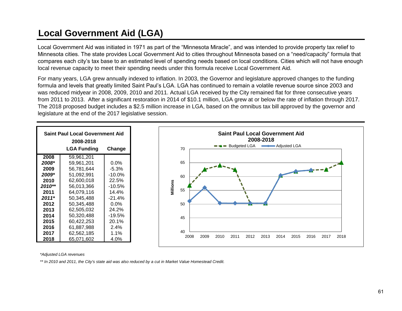# **Local Government Aid (LGA)**

Local Government Aid was initiated in 1971 as part of the "Minnesota Miracle", and was intended to provide property tax relief to Minnesota cities. The state provides Local Government Aid to cities throughout Minnesota based on a "need/capacity" formula that compares each city's tax base to an estimated level of spending needs based on local conditions. Cities which will not have enough local revenue capacity to meet their spending needs under this formula receive Local Government Aid.

For many years, LGA grew annually indexed to inflation. In 2003, the Governor and legislature approved changes to the funding formula and levels that greatly limited Saint Paul's LGA. LGA has continued to remain a volatile revenue source since 2003 and was reduced midyear in 2008, 2009, 2010 and 2011. Actual LGA received by the City remained flat for three consecutive years from 2011 to 2013. After a significant restoration in 2014 of \$10.1 million, LGA grew at or below the rate of inflation through 2017. The 2018 proposed budget includes a \$2.5 million increase in LGA, based on the omnibus tax bill approved by the governor and legislature at the end of the 2017 legislative session.



*\*Adjusted LGA revenues*

*\*\* In 2010 and 2011, the City's state aid was also reduced by a cut in Market Value Homestead Credit.*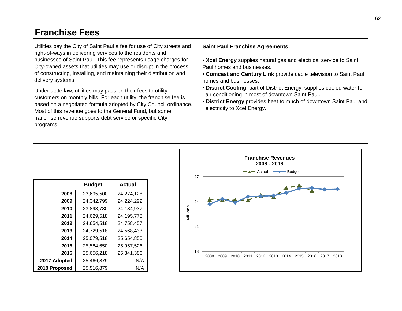## **Franchise Fees**

Utilities pay the City of Saint Paul a fee for use of City streets and right-of-ways in delivering services to the residents and businesses of Saint Paul. This fee represents usage charges for City-owned assets that utilities may use or disrupt in the process of constructing, installing, and maintaining their distribution and delivery systems.

Under state law, utilities may pass on their fees to utility customers on monthly bills. For each utility, the franchise fee is based on a negotiated formula adopted by City Council ordinance. Most of this revenue goes to the General Fund, but some franchise revenue supports debt service or specific City programs.

**Saint Paul Franchise Agreements:**

- • **Xcel Energy** supplies natural gas and electrical service to Saint Paul homes and businesses.
- **Comcast and Century Link** provide cable television to Saint Paul homes and businesses.
- **District Cooling**, part of District Energy, supplies cooled water for air conditioning in most of downtown Saint Paul.
- **District Energy** provides heat to much of downtown Saint Paul and electricity to Xcel Energy.

|               | <b>Budget</b> | Actual     |
|---------------|---------------|------------|
| 2008          | 23,695,500    | 24,274,128 |
| 2009          | 24,342,799    | 24,224,292 |
| 2010          | 23,893,730    | 24,184,937 |
| 2011          | 24,629,518    | 24,195,778 |
| 2012          | 24,654,518    | 24,758,457 |
| 2013          | 24,729,518    | 24,568,433 |
| 2014          | 25,079,518    | 25,654,850 |
| 2015          | 25,584,650    | 25,957,526 |
| 2016          | 25,656,218    | 25,341,386 |
| 2017 Adopted  | 25,466,879    | N/A        |
| 2018 Proposed | 25,516,879    | N/A        |

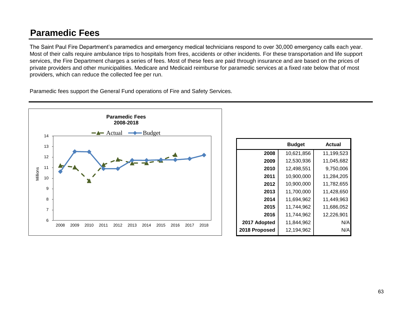# **Paramedic Fees**

The Saint Paul Fire Department's paramedics and emergency medical technicians respond to over 30,000 emergency calls each year. Most of their calls require ambulance trips to hospitals from fires, accidents or other incidents. For these transportation and life support services, the Fire Department charges a series of fees. Most of these fees are paid through insurance and are based on the prices of private providers and other municipalities. Medicare and Medicaid reimburse for paramedic services at a fixed rate below that of most providers, which can reduce the collected fee per run.

Paramedic fees support the General Fund operations of Fire and Safety Services.



|               | <b>Budget</b> | Actual     |
|---------------|---------------|------------|
| 2008          | 10,621,856    | 11,199,523 |
| 2009          | 12,530,936    | 11,045,682 |
| 2010          | 12,498,551    | 9,750,006  |
| 2011          | 10,900,000    | 11,284,205 |
| 2012          | 10,900,000    | 11,782,655 |
| 2013          | 11,700,000    | 11,428,650 |
| 2014          | 11,694,962    | 11,449,963 |
| 2015          | 11,744,962    | 11,686,052 |
| 2016          | 11,744,962    | 12,226,901 |
| 2017 Adopted  | 11,844,962    | N/A        |
| 2018 Proposed | 12,194,962    | N/A        |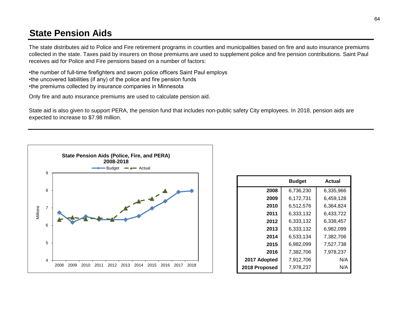# **State Pension Aids**

The state distributes aid to Police and Fire retirement programs in counties and municipalities based on fire and auto insurance premiums collected in the state. Taxes paid by insurers on those premiums are used to supplement police and fire pension contributions. Saint Paul receives aid for Police and Fire pensions based on a number of factors:

•the number of full-time firefighters and sworn police officers Saint Paul employs •the uncovered liabilities (if any) of the police and fire pension funds •the premiums collected by insurance companies in Minnesota

Only fire and auto insurance premiums are used to calculate pension aid.

State aid is also given to support PERA, the pension fund that includes non-public safety City employees. In 2018, pension aids are expected to increase to \$7.98 million.



|               | <b>Budget</b> | Actual    |
|---------------|---------------|-----------|
| 2008          | 6,736,230     | 6,335,966 |
| 2009          | 6,172,731     | 6,459,128 |
| 2010          | 6,512,576     | 6,364,824 |
| 2011          | 6,333,132     | 6,433,722 |
| 2012          | 6,333,132     | 6,338,457 |
| 2013          | 6,333,132     | 6,982,099 |
| 2014          | 6,533,134     | 7.382.706 |
| 2015          | 6,982,099     | 7,527,738 |
| 2016          | 7,382,706     | 7,978,237 |
| 2017 Adopted  | 7,912,706     | N/A       |
| 2018 Proposed | 7,978,237     | N/A       |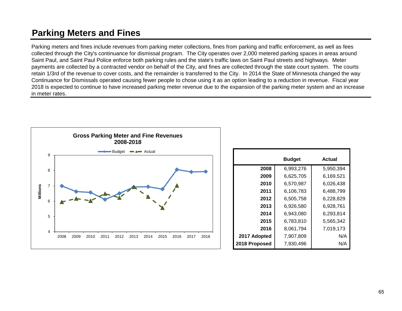# **Parking Meters and Fines**

Parking meters and fines include revenues from parking meter collections, fines from parking and traffic enforcement, as well as fees collected through the City's continuance for dismissal program. The City operates over 2,000 metered parking spaces in areas around Saint Paul, and Saint Paul Police enforce both parking rules and the state's traffic laws on Saint Paul streets and highways. Meter payments are collected by a contracted vendor on behalf of the City, and fines are collected through the state court system. The courts retain 1/3rd of the revenue to cover costs, and the remainder is transferred to the City. In 2014 the State of Minnesota changed the way Continuance for Dismissals operated causing fewer people to chose using it as an option leading to a reduction in revenue. Fiscal year 2018 is expected to continue to have increased parking meter revenue due to the expansion of the parking meter system and an increase in meter rates.



|               | <b>Budget</b> | Actual    |
|---------------|---------------|-----------|
| 2008          | 6,993,276     | 5,950,394 |
| 2009          | 6,625,705     | 6,169,521 |
| 2010          | 6,570,987     | 6,026,438 |
| 2011          | 6,106,783     | 6,488,799 |
| 2012          | 6,505,758     | 6,228,829 |
| 2013          | 6,926,580     | 6,928,761 |
| 2014          | 6,943,080     | 6,293,814 |
| 2015          | 6,783,810     | 5,565,342 |
| 2016          | 8,061,794     | 7,019,173 |
| 2017 Adopted  | 7,907,809     | N/A       |
| 2018 Proposed | 7,930,496     | N/A       |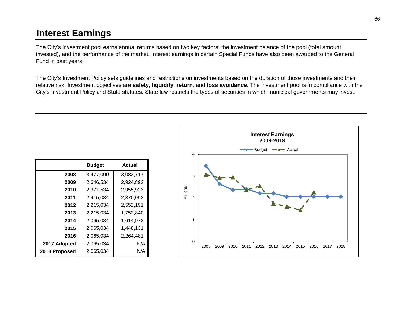# **Interest Earnings**

The City's investment pool earns annual returns based on two key factors: the investment balance of the pool (total amount invested), and the performance of the market. Interest earnings in certain Special Funds have also been awarded to the General Fund in past years.

The City's Investment Policy sets guidelines and restrictions on investments based on the duration of those investments and their relative risk. Investment objectives are **safety**, **liquidity**, **return**, and **loss avoidance**. The investment pool is in compliance with the City's Investment Policy and State statutes. State law restricts the types of securities in which municipal governments may invest.

|               | <b>Budget</b> | Actual    |
|---------------|---------------|-----------|
| 2008          | 3,477,000     | 3,083,717 |
| 2009          | 2,646,534     | 2,924,892 |
| 2010          | 2,371,534     | 2,955,923 |
| 2011          | 2,415,034     | 2,370,093 |
| 2012          | 2,215,034     | 2,552,191 |
| 2013          | 2,215,034     | 1,752,840 |
| 2014          | 2,065,034     | 1,614,972 |
| 2015          | 2,065,034     | 1,448,131 |
| 2016          | 2,065,034     | 2,264,481 |
| 2017 Adopted  | 2,065,034     | N/A       |
| 2018 Proposed | 2,065,034     | N/A       |